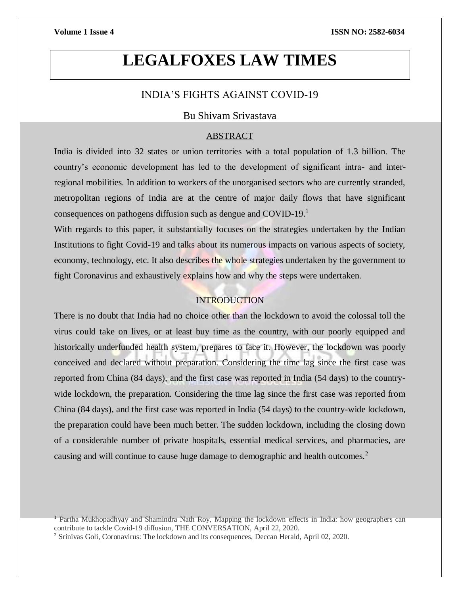$\overline{a}$ 

# **LEGALFOXES LAW TIMES**

# INDIA'S FIGHTS AGAINST COVID-19

# Bu Shivam Srivastava

### ABSTRACT

India is divided into 32 states or union territories with a total population of 1.3 billion. The country's economic development has led to the development of significant intra- and interregional mobilities. In addition to workers of the unorganised sectors who are currently stranded, metropolitan regions of India are at the centre of major daily flows that have significant consequences on pathogens diffusion such as dengue and COVID-19.<sup>1</sup>

With regards to this paper, it substantially focuses on the strategies undertaken by the Indian Institutions to fight Covid-19 and talks about its numerous impacts on various aspects of society, economy, technology, etc. It also describes the whole strategies undertaken by the government to fight Coronavirus and exhaustively explains how and why the steps were undertaken.

# **INTRODUCTION**

There is no doubt that India had no choice other than the lockdown to avoid the colossal toll the virus could take on lives, or at least buy time as the country, with our poorly equipped and historically underfunded health system, prepares to face it. However, the lockdown was poorly conceived and declared without preparation. Considering the time lag since the first case was reported from China (84 days), and the first case was reported in India (54 days) to the countrywide lockdown, the preparation. Considering the time lag since the first case was reported from China (84 days), and the first case was reported in India (54 days) to the country-wide lockdown, the preparation could have been much better. The sudden lockdown, including the closing down of a considerable number of private hospitals, essential medical services, and pharmacies, are causing and will continue to cause huge damage to demographic and health outcomes.<sup>2</sup>

<sup>1</sup> Partha Mukhopadhyay and Shamindra Nath Roy, Mapping the lockdown effects in India: how geographers can contribute to tackle Covid-19 diffusion, THE CONVERSATION, April 22, 2020.

<sup>2</sup> Srinivas Goli, Coronavirus: The lockdown and its consequences, Deccan Herald, April 02, 2020.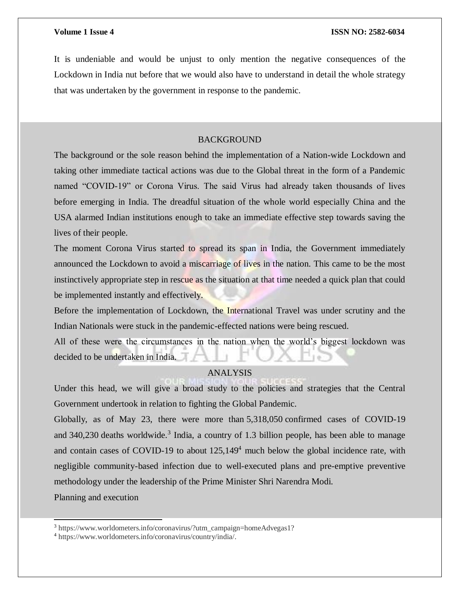It is undeniable and would be unjust to only mention the negative consequences of the Lockdown in India nut before that we would also have to understand in detail the whole strategy that was undertaken by the government in response to the pandemic.

## BACKGROUND

The background or the sole reason behind the implementation of a Nation-wide Lockdown and taking other immediate tactical actions was due to the Global threat in the form of a Pandemic named "COVID-19" or Corona Virus. The said Virus had already taken thousands of lives before emerging in India. The dreadful situation of the whole world especially China and the USA alarmed Indian institutions enough to take an immediate effective step towards saving the lives of their people.

The moment Corona Virus started to spread its span in India, the Government immediately announced the Lockdown to avoid a miscarriage of lives in the nation. This came to be the most instinctively appropriate step in rescue as the situation at that time needed a quick plan that could be implemented instantly and effectively.

Before the implementation of Lockdown, the International Travel was under scrutiny and the Indian Nationals were stuck in the pandemic-effected nations were being rescued.

All of these were the circumstances in the nation when the world's biggest lockdown was decided to be undertaken in India.

# ANALYSIS

Under this head, we will give a broad study to the policies and strategies that the Central Government undertook in relation to fighting the Global Pandemic.

Globally, as of May 23, there were more than 5,318,050 confirmed cases of COVID-19 and  $340,230$  deaths worldwide.<sup>3</sup> India, a country of 1.3 billion people, has been able to manage and contain cases of COVID-19 to about  $125,149<sup>4</sup>$  much below the global incidence rate, with negligible community-based infection due to well-executed plans and pre-emptive preventive methodology under the leadership of the Prime Minister Shri Narendra Modi.

Planning and execution

l

<sup>3</sup> https://www.worldometers.info/coronavirus/?utm\_campaign=homeAdvegas1?

<sup>4</sup> https://www.worldometers.info/coronavirus/country/india/.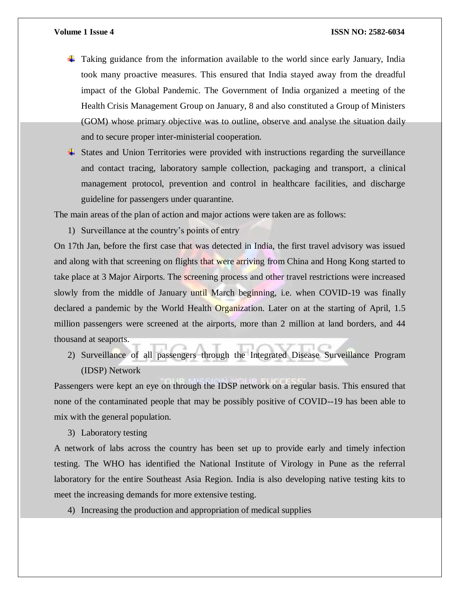- $\pm$  Taking guidance from the information available to the world since early January, India took many proactive measures. This ensured that India stayed away from the dreadful impact of the Global Pandemic. The Government of India organized a meeting of the Health Crisis Management Group on January, 8 and also constituted a Group of Ministers (GOM) whose primary objective was to outline, observe and analyse the situation daily and to secure proper inter-ministerial cooperation.
- $\overline{\phantom{a}}$  States and Union Territories were provided with instructions regarding the surveillance and contact tracing, laboratory sample collection, packaging and transport, a clinical management protocol, prevention and control in healthcare facilities, and discharge guideline for passengers under quarantine.

The main areas of the plan of action and major actions were taken are as follows:

1) Surveillance at the country's points of entry

On 17th Jan, before the first case that was detected in India, the first travel advisory was issued and along with that screening on flights that were arriving from China and Hong Kong started to take place at 3 Major Airports. The screening process and other travel restrictions were increased slowly from the middle of January until March beginning, i.e. when COVID-19 was finally declared a pandemic by the World Health Organization. Later on at the starting of April, 1.5 million passengers were screened at the airports, more than 2 million at land borders, and 44 thousand at seaports.

2) Surveillance of all passengers through the Integrated Disease Surveillance Program (IDSP) Network

Passengers were kept an eye on through the IDSP network on a regular basis. This ensured that none of the contaminated people that may be possibly positive of COVID--19 has been able to mix with the general population.

3) Laboratory testing

A network of labs across the country has been set up to provide early and timely infection testing. The WHO has identified the National Institute of Virology in Pune as the referral laboratory for the entire Southeast Asia Region. India is also developing native testing kits to meet the increasing demands for more extensive testing.

4) Increasing the production and appropriation of medical supplies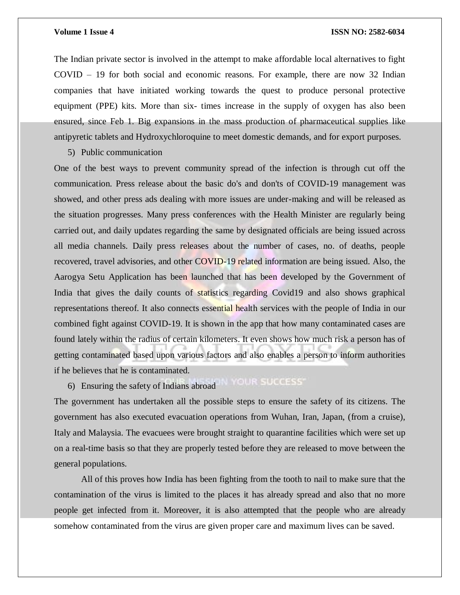The Indian private sector is involved in the attempt to make affordable local alternatives to fight COVID – 19 for both social and economic reasons. For example, there are now 32 Indian companies that have initiated working towards the quest to produce personal protective equipment (PPE) kits. More than six- times increase in the supply of oxygen has also been ensured, since Feb 1. Big expansions in the mass production of pharmaceutical supplies like antipyretic tablets and Hydroxychloroquine to meet domestic demands, and for export purposes.

5) Public communication

One of the best ways to prevent community spread of the infection is through cut off the communication. Press release about the basic do's and don'ts of COVID-19 management was showed, and other press ads dealing with more issues are under-making and will be released as the situation progresses. Many press conferences with the Health Minister are regularly being carried out, and daily updates regarding the same by designated officials are being issued across all media channels. Daily press releases about the number of cases, no. of deaths, people recovered, travel advisories, and other COVID-19 related information are being issued. Also, the Aarogya Setu Application has been launched that has been developed by the Government of India that gives the daily counts of statistics regarding Covid19 and also shows graphical representations thereof. It also connects essential health services with the people of India in our combined fight against COVID-19. It is shown in the app that how many contaminated cases are found lately within the radius of certain kilometers. It even shows how much risk a person has of getting contaminated based upon various factors and also enables a person to inform authorities if he believes that he is contaminated.

6) Ensuring the safety of Indians abroad

The government has undertaken all the possible steps to ensure the safety of its citizens. The government has also executed evacuation operations from Wuhan, Iran, Japan, (from a cruise), Italy and Malaysia. The evacuees were brought straight to quarantine facilities which were set up on a real-time basis so that they are properly tested before they are released to move between the general populations.

All of this proves how India has been fighting from the tooth to nail to make sure that the contamination of the virus is limited to the places it has already spread and also that no more people get infected from it. Moreover, it is also attempted that the people who are already somehow contaminated from the virus are given proper care and maximum lives can be saved.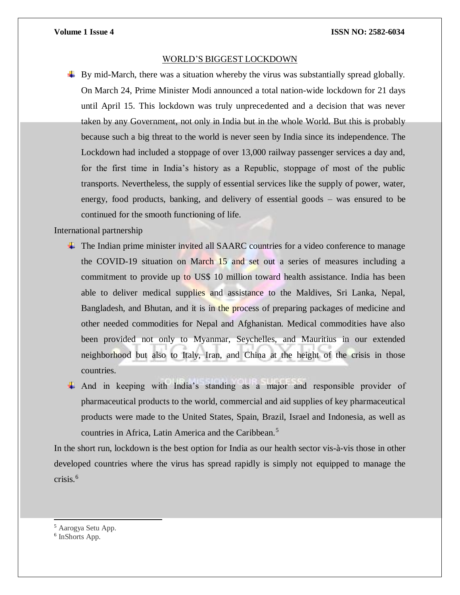### WORLD'S BIGGEST LOCKDOWN

 $\blacktriangle$  By mid-March, there was a situation whereby the virus was substantially spread globally. On March 24, Prime Minister Modi announced a total nation-wide lockdown for 21 days until April 15. This lockdown was truly unprecedented and a decision that was never taken by any Government, not only in India but in the whole World. But this is probably because such a big threat to the world is never seen by India since its independence. The Lockdown had included a stoppage of over 13,000 railway passenger services a day and, for the first time in India's history as a Republic, stoppage of most of the public transports. Nevertheless, the supply of essential services like the supply of power, water, energy, food products, banking, and delivery of essential goods – was ensured to be continued for the smooth functioning of life.

International partnership

- The Indian prime minister invited all SAARC countries for a video conference to manage the COVID-19 situation on March 15 and set out a series of measures including a commitment to provide up to US\$ 10 million toward health assistance. India has been able to deliver medical supplies and assistance to the Maldives, Sri Lanka, Nepal, Bangladesh, and Bhutan, and it is in the process of preparing packages of medicine and other needed commodities for Nepal and Afghanistan. Medical commodities have also been provided not only to Myanmar, Seychelles, and Mauritius in our extended neighborhood but also to Italy, Iran, and China at the height of the crisis in those countries.
- $\overline{\text{+}}$  And in keeping with India's standing as a major and responsible provider of pharmaceutical products to the world, commercial and aid supplies of key pharmaceutical products were made to the United States, Spain, Brazil, Israel and Indonesia, as well as countries in Africa, Latin America and the Caribbean.<sup>5</sup>

In the short run, lockdown is the best option for India as our health sector vis-à-vis those in other developed countries where the virus has spread rapidly is simply not equipped to manage the crisis. $6$ 

l

<sup>5</sup> Aarogya Setu App.

<sup>6</sup> InShorts App.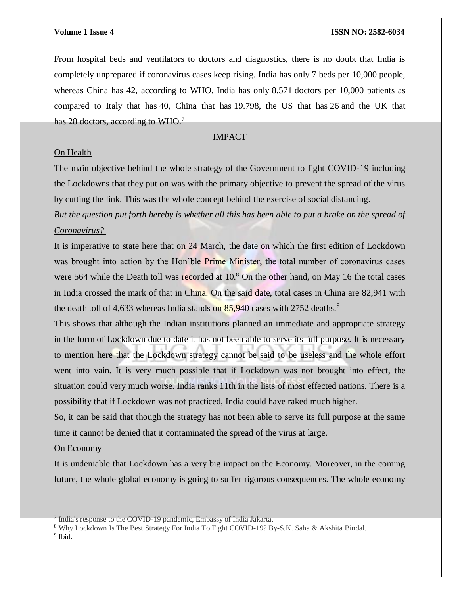From hospital beds and ventilators to doctors and diagnostics, there is no doubt that India is completely unprepared if coronavirus cases keep rising. India has only 7 beds per 10,000 people, whereas China has 42, according to WHO. India has only 8.571 doctors per 10,000 patients as compared to Italy that has 40, China that has 19.798, the US that has 26 and the UK that has 28 doctors, according to WHO.<sup>7</sup>

# IMPACT

# On Health

The main objective behind the whole strategy of the Government to fight COVID-19 including the Lockdowns that they put on was with the primary objective to prevent the spread of the virus by cutting the link. This was the whole concept behind the exercise of social distancing.

*But the question put forth hereby is whether all this has been able to put a brake on the spread of Coronavirus?*

It is imperative to state here that on 24 March, the date on which the first edition of Lockdown was brought into action by the Hon'ble Prime Minister, the total number of coronavirus cases were 564 while the Death toll was recorded at  $10<sup>8</sup>$  On the other hand, on May 16 the total cases in India crossed the mark of that in China. On the said date, total cases in China are 82,941 with the death toll of 4,633 whereas India stands on  $85,940$  cases with 2752 deaths.<sup>9</sup>

This shows that although the Indian institutions planned an immediate and appropriate strategy in the form of Lockdown due to date it has not been able to serve its full purpose. It is necessary to mention here that the Lockdown strategy cannot be said to be useless and the whole effort went into vain. It is very much possible that if Lockdown was not brought into effect, the situation could very much worse. India ranks 11th in the lists of most effected nations. There is a possibility that if Lockdown was not practiced, India could have raked much higher.

So, it can be said that though the strategy has not been able to serve its full purpose at the same time it cannot be denied that it contaminated the spread of the virus at large.

# On Economy

It is undeniable that Lockdown has a very big impact on the Economy. Moreover, in the coming future, the whole global economy is going to suffer rigorous consequences. The whole economy

 $\overline{a}$ 

<sup>&</sup>lt;sup>7</sup> India's response to the COVID-19 pandemic, Embassy of India Jakarta.

<sup>8</sup> Why Lockdown Is The Best Strategy For India To Fight COVID-19? By-S.K. Saha & Akshita Bindal.

<sup>&</sup>lt;sup>9</sup> Ibid.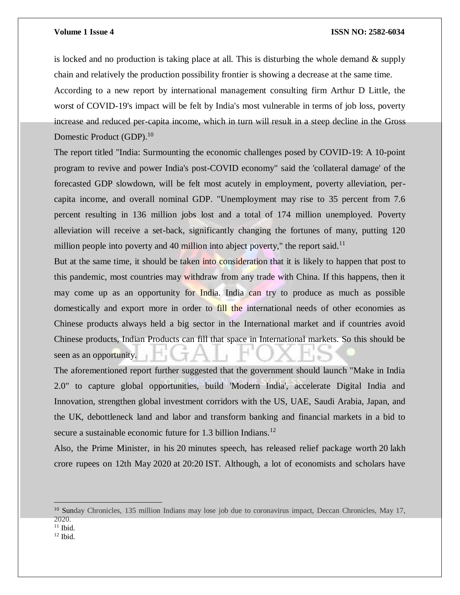is locked and no production is taking place at all. This is disturbing the whole demand  $\&$  supply chain and relatively the production possibility frontier is showing a decrease at the same time. According to a new report by international management consulting firm Arthur D Little, the worst of COVID-19's impact will be felt by India's most vulnerable in terms of job loss, poverty increase and reduced per-capita income, which in turn will result in a steep decline in the Gross Domestic Product (GDP).<sup>10</sup>

The report titled "India: Surmounting the economic challenges posed by COVID-19: A 10-point program to revive and power India's post-COVID economy" said the 'collateral damage' of the forecasted GDP slowdown, will be felt most acutely in employment, poverty alleviation, percapita income, and overall nominal GDP. "Unemployment may rise to 35 percent from 7.6 percent resulting in 136 million jobs lost and a total of 174 million unemployed. Poverty alleviation will receive a set-back, significantly changing the fortunes of many, putting 120 million people into poverty and 40 million into abject poverty," the report said.<sup>11</sup>

But at the same time, it should be taken into consideration that it is likely to happen that post to this pandemic, most countries may withdraw from any trade with China. If this happens, then it may come up as an opportunity for India. India can try to produce as much as possible domestically and export more in order to fill the international needs of other economies as Chinese products always held a big sector in the International market and if countries avoid Chinese products, Indian Products can fill that space in International markets. So this should be seen as an opportunity.

The aforementioned report further suggested that the government should launch "Make in India 2.0" to capture global opportunities, build 'Modern India', accelerate Digital India and Innovation, strengthen global investment corridors with the US, UAE, Saudi Arabia, Japan, and the UK, debottleneck land and labor and transform banking and financial markets in a bid to secure a sustainable economic future for 1.3 billion Indians.<sup>12</sup>

Also, the Prime Minister, in his 20 minutes speech, has released relief package worth 20 lakh crore rupees on 12th May 2020 at 20:20 IST. Although, a lot of economists and scholars have

 $\overline{a}$ 

<sup>&</sup>lt;sup>10</sup> Sunday Chronicles, 135 million Indians may lose job due to coronavirus impact, Deccan Chronicles, May 17, 2020.

 $11$  Ibid.

 $12$  Ibid.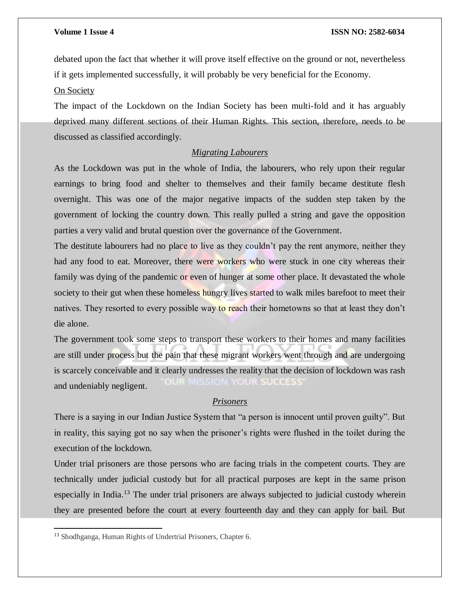debated upon the fact that whether it will prove itself effective on the ground or not, nevertheless if it gets implemented successfully, it will probably be very beneficial for the Economy.

On Society

The impact of the Lockdown on the Indian Society has been multi-fold and it has arguably deprived many different sections of their Human Rights. This section, therefore, needs to be discussed as classified accordingly.

# *Migrating Labourers*

As the Lockdown was put in the whole of India, the labourers, who rely upon their regular earnings to bring food and shelter to themselves and their family became destitute flesh overnight. This was one of the major negative impacts of the sudden step taken by the government of locking the country down. This really pulled a string and gave the opposition parties a very valid and brutal question over the governance of the Government.

The destitute labourers had no place to live as they couldn't pay the rent anymore, neither they had any food to eat. Moreover, there were workers who were stuck in one city whereas their family was dying of the pandemic or even of hunger at some other place. It devastated the whole society to their gut when these homeless hungry lives started to walk miles barefoot to meet their natives. They resorted to every possible way to reach their hometowns so that at least they don't die alone.

The government took some steps to transport these workers to their homes and many facilities are still under process but the pain that these migrant workers went through and are undergoing is scarcely conceivable and it clearly undresses the reality that the decision of lockdown was rash **CIN YOUR SUCCESS** and undeniably negligent.

### *Prisoners*

There is a saying in our Indian Justice System that "a person is innocent until proven guilty". But in reality, this saying got no say when the prisoner's rights were flushed in the toilet during the execution of the lockdown.

Under trial prisoners are those persons who are facing trials in the competent courts. They are technically under judicial custody but for all practical purposes are kept in the same prison especially in India.<sup>13</sup> The under trial prisoners are always subjected to judicial custody wherein they are presented before the court at every fourteenth day and they can apply for bail. But

 $\overline{a}$ 

<sup>13</sup> Shodhganga, Human Rights of Undertrial Prisoners, Chapter 6.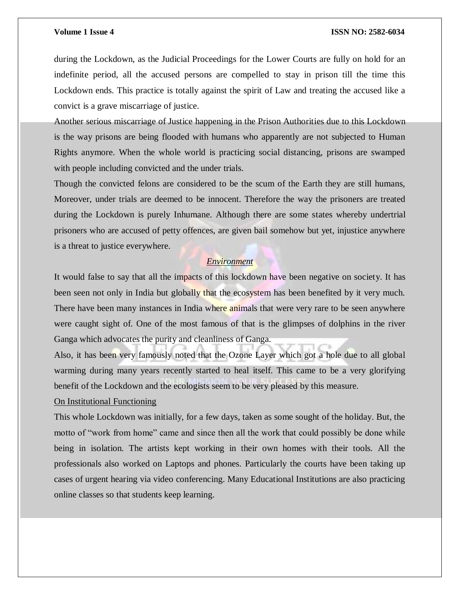during the Lockdown, as the Judicial Proceedings for the Lower Courts are fully on hold for an indefinite period, all the accused persons are compelled to stay in prison till the time this Lockdown ends. This practice is totally against the spirit of Law and treating the accused like a convict is a grave miscarriage of justice.

Another serious miscarriage of Justice happening in the Prison Authorities due to this Lockdown is the way prisons are being flooded with humans who apparently are not subjected to Human Rights anymore. When the whole world is practicing social distancing, prisons are swamped with people including convicted and the under trials.

Though the convicted felons are considered to be the scum of the Earth they are still humans, Moreover, under trials are deemed to be innocent. Therefore the way the prisoners are treated during the Lockdown is purely Inhumane. Although there are some states whereby undertrial prisoners who are accused of petty offences, are given bail somehow but yet, injustice anywhere is a threat to justice everywhere.

## *Environment*

It would false to say that all the impacts of this lockdown have been negative on society. It has been seen not only in India but globally that the ecosystem has been benefited by it very much. There have been many instances in India where animals that were very rare to be seen anywhere were caught sight of. One of the most famous of that is the glimpses of dolphins in the river Ganga which advocates the purity and cleanliness of Ganga.

Also, it has been very famously noted that the Ozone Layer which got a hole due to all global warming during many years recently started to heal itself. This came to be a very glorifying benefit of the Lockdown and the ecologists seem to be very pleased by this measure.

# On Institutional Functioning

This whole Lockdown was initially, for a few days, taken as some sought of the holiday. But, the motto of "work from home" came and since then all the work that could possibly be done while being in isolation. The artists kept working in their own homes with their tools. All the professionals also worked on Laptops and phones. Particularly the courts have been taking up cases of urgent hearing via video conferencing. Many Educational Institutions are also practicing online classes so that students keep learning.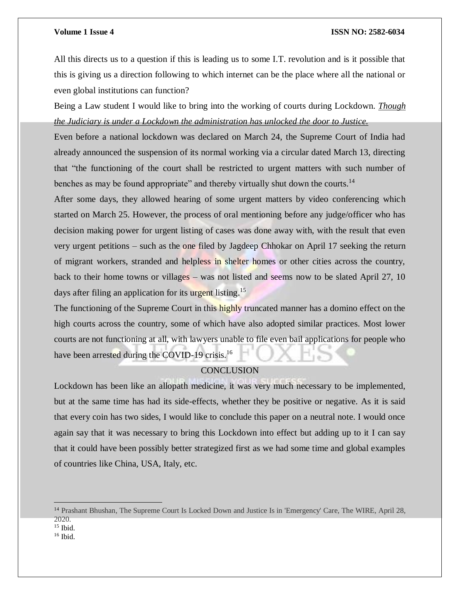All this directs us to a question if this is leading us to some I.T. revolution and is it possible that this is giving us a direction following to which internet can be the place where all the national or even global institutions can function?

Being a Law student I would like to bring into the working of courts during Lockdown. *Though the Judiciary is under a Lockdown the administration has unlocked the door to Justice.*

Even before a national lockdown was declared on March 24, the Supreme Court of India had already announced the suspension of its normal working via a circular dated March 13, directing that "the functioning of the court shall be restricted to urgent matters with such number of benches as may be found appropriate" and thereby virtually shut down the courts.<sup>14</sup>

After some days, they allowed hearing of some urgent matters by video conferencing which started on March 25. However, the process of oral mentioning before any judge/officer who has decision making power for urgent listing of cases was done away with, with the result that even very urgent petitions – such as the one filed by Jagdeep Chhokar on April 17 seeking the return of migrant workers, stranded and helpless in shelter homes or other cities across the country, back to their home towns or villages – was not listed and seems now to be slated April 27, 10 days after filing an application for its urgent listing.<sup>15</sup>

The functioning of the Supreme Court in this highly truncated manner has a domino effect on the high courts across the country, some of which have also adopted similar practices. Most lower courts are not functioning at all, with lawyers unable to file even bail applications for people who have been arrested during the COVID-19 crisis.<sup>16</sup>

# **CONCLUSION**

Lockdown has been like an allopath medicine, it was very much necessary to be implemented, but at the same time has had its side-effects, whether they be positive or negative. As it is said that every coin has two sides, I would like to conclude this paper on a neutral note. I would once again say that it was necessary to bring this Lockdown into effect but adding up to it I can say that it could have been possibly better strategized first as we had some time and global examples of countries like China, USA, Italy, etc.

 $\overline{a}$ 

<sup>16</sup> Ibid.

<sup>&</sup>lt;sup>14</sup> Prashant Bhushan, The Supreme Court Is Locked Down and Justice Is in 'Emergency' Care, The WIRE, April 28, 2020.

<sup>15</sup> Ibid.